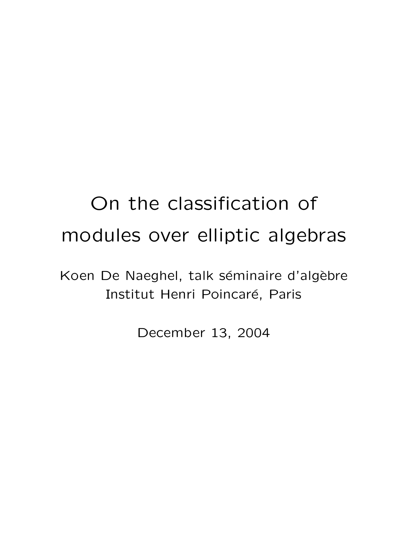# On the classification of modules over elliptic algebras

Koen De Naeghel, talk séminaire d'algèbre Institut Henri Poincaré, Paris

December 13, 2004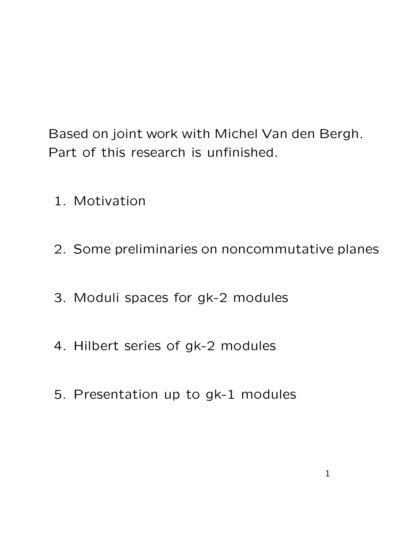Based on joint work with Michel Van den Bergh. Part of this research is unfinished.

- 1. Motivation
- 2. Some preliminaries on noncommutative planes
- 3. Moduli spaces for gk-2 modules
- 4. Hilbert series of gk-2 modules
- 5. Presentation up to gk-1 modules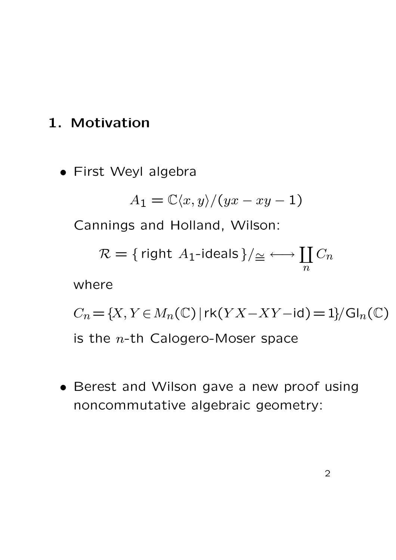## 1. Motivation

• First Weyl algebra

$$
A_1 = \mathbb{C}\langle x, y \rangle / (yx - xy - 1)
$$

Cannings and Holland, Wilson:

$$
\mathcal{R} = {\text{ right } A_1\text{-ideals}} / \underline{\cong} \longleftrightarrow \coprod_n C_n
$$
\nwhere

\n
$$
C_n = \{X, Y \in M_n(\mathbb{C}) \mid \text{rk}(YX - XY - \text{id}) = 1\} / \text{Gl}_n(\mathbb{C})
$$
\nis the *n*-th Calogero-Moser space

• Berest and Wilson gave a new proof using noncommutative algebraic geometry: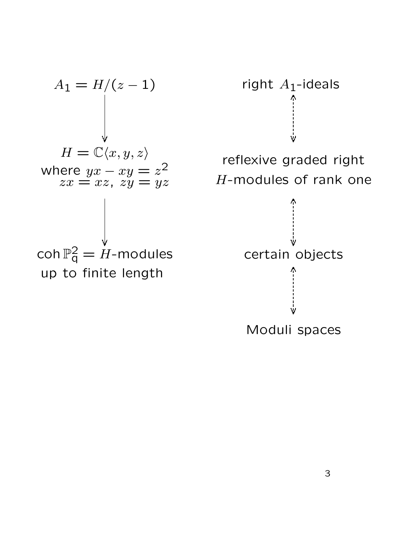$$
A_1 = H/(z - 1)
$$
\n
$$
H = \mathbb{C}\langle x, y, z \rangle
$$
\nwhere  $yx - xy = z^2$   
\n $zx = xz$ ,  $zy = yz$   
\n
$$
\begin{array}{c}\n\bigcup_{x,y,z \in \mathbb{C}^2} [x, y, z] \quad \text{for } z \neq 0 \\
\text{Coh } \mathbb{P}_q^2 = H\text{-modules} \\
\text{up to finite length}\n\end{array}
$$



H-modules of rank one

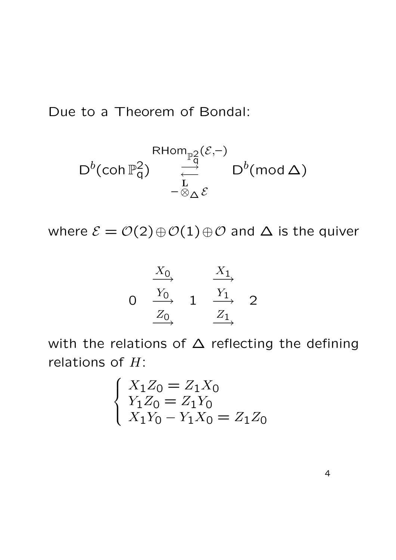Due to a Theorem of Bondal:

$$
\mathsf{RHom}_{\mathbb{P}^2_q}(\mathcal{E},-)
$$
\n
$$
\mathsf{D}^b(\mathsf{coh}\,\mathbb{P}^2_q) \underset{-\otimes_\Delta\mathcal{E}}{\overset{\mathsf{RHom}_{\mathbb{P}^2_q}(\mathcal{E},-)}} \mathsf{D}^b(\mathsf{mod}\,\Delta)
$$

where  $\mathcal{E} = \mathcal{O}(2) \oplus \mathcal{O}(1) \oplus \mathcal{O}$  and  $\Delta$  is the quiver

$$
\begin{array}{ccc}\n & X_0 & X_1 \\
 & \searrow & \\
 & Y_0 & \\
 & Z_0 & \\
 & \xrightarrow{Z_1} & \\
 & \xrightarrow{Z_1} & \\
 & \xrightarrow{Z_2} & \\
 & \xrightarrow{Z_3} & \\
 & \xrightarrow{Z_4} & \\
 & \xrightarrow{Z_5} & \\
 & \xrightarrow{Z_6} & \\
 & \xrightarrow{Z_7} & \\
 & \xrightarrow{Z_8} & \\
 & \xrightarrow{Z_9} & \\
 & \xrightarrow{Z_1} & \\
 & \xrightarrow{Z_1} & \\
 & \xrightarrow{Z_1} & \\
 & \xrightarrow{Z_2} & \\
 & \xrightarrow{Z_3} & \\
 & \xrightarrow{Z_4} & \\
 & \xrightarrow{Z_5} & \\
 & \xrightarrow{Z_6} & \\
 & \xrightarrow{Z_7} & \\
 & \xrightarrow{Z_8} & \\
 & \xrightarrow{Z_9} & \\
 & \xrightarrow{Z_9} & \\
 & \xrightarrow{Z_1} & \\
 & \xrightarrow{Z_1} & \\
 & \xrightarrow{Z_2} & \\
 & \xrightarrow{Z_3} & \\
 & \xrightarrow{Z_4} & \\
 & \xrightarrow{Z_5} & \\
 & \xrightarrow{Z_6} & \\
 & \xrightarrow{Z_7} & \\
 & \xrightarrow{Z_8} & \\
 & \xrightarrow{Z_9} & \\
 & \xrightarrow{Z_9} & \\
 & \xrightarrow{Z_1} & \\
 & \xrightarrow{Z_1} & \\
 & \xrightarrow{Z_1} & \\
 & \xrightarrow{Z_2} & \\
 & \xrightarrow{Z_3} & \\
 & \xrightarrow{Z_4} & \\
 & \xrightarrow{Z_5} & \\
 & \xrightarrow{Z_6} & \\
 & \xrightarrow{Z_7} & \\
 & \xrightarrow{Z_8} & \\
 & \xrightarrow{Z_9} & \\
 & \xrightarrow{Z_9} & \\
 & \xrightarrow{Z_9} & \\
 & \xrightarrow{Z_9} & \\
 & \xrightarrow{Z_9} & \\
 & \xrightarrow{Z_9} & \\
 & \xrightarrow{Z_9} & \\
 & \xrightarrow{Z_9} & \\
 & \xrightarrow{Z_9} & \\
 & \xrightarrow{Z_9} & \\
 & \xrightarrow{Z_9} & \\
 & \xrightarrow{Z_9} & \\
 & \xrightarrow{Z_9} & \\
 & \xrightarrow{Z_9} & \\
 & \xrightarrow{Z_9} & \\
 & \xrightarrow{Z_9} & \\
 & \xrightarrow{Z_9} & \\
 & \xrightarrow{Z_9} & \\
 & \xrightarrow{Z_9} & \\
 & \xrightarrow{Z_9} & \\
 & \xrightarrow{Z_9} & \\
 & \xrightarrow{Z_9} & \\
 & \xrightarrow{Z_9} &
$$

with the relations of  $\Delta$  reflecting the defining relations of  $H$ :

$$
\begin{cases}\nX_1 Z_0 = Z_1 X_0 \\
Y_1 Z_0 = Z_1 Y_0 \\
X_1 Y_0 - Y_1 X_0 = Z_1 Z_0\n\end{cases}
$$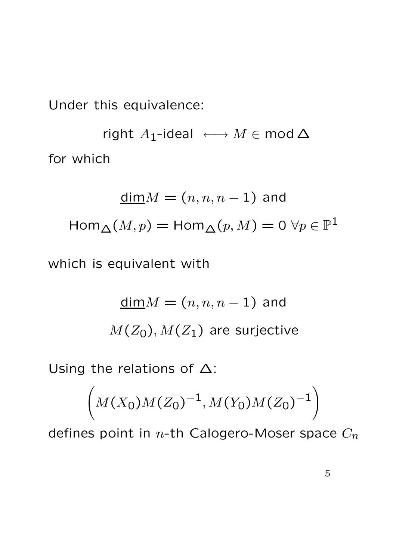Under this equivalence:

right  $A_1$ -ideal  $\longleftrightarrow M \in \text{mod } \Delta$ for which

$$
\underline{\dim} M = (n, n, n - 1) \text{ and}
$$

$$
\operatorname{Hom}_{\Delta}(M, p) = \operatorname{Hom}_{\Delta}(p, M) = 0 \,\forall p \in \mathbb{P}^1
$$

which is equivalent with

$$
\underline{\dim} M = (n, n, n - 1)
$$
 and  

$$
M(Z_0), M(Z_1)
$$
 are surjective

Using the relations of  $\Delta$ :

$$
\left(M(X_0)M(Z_0)^{-1}, M(Y_0)M(Z_0)^{-1}\right)
$$

defines point in  $n$ -th Calogero-Moser space  $C_n$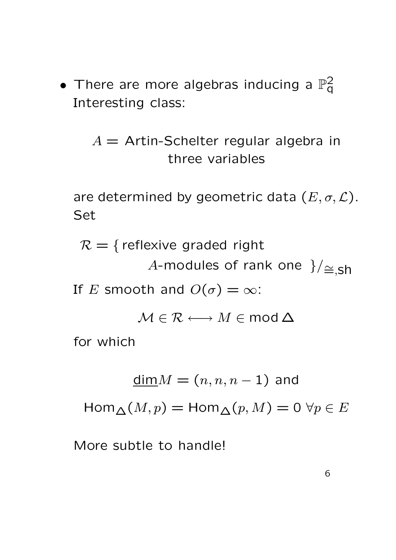• There are more algebras inducing a  $\mathbb{P}^2_q$  $\bar{\mathsf q}$ Interesting class:

> $A =$  Artin-Schelter regular algebra in three variables

are determined by geometric data  $(E, \sigma, \mathcal{L})$ . Set

 $\mathcal{R} = \{$  reflexive graded right A-modules of rank one  $\frac{1}{\equiv}$ , sh If E smooth and  $O(\sigma) = \infty$ :

 $M \in \mathcal{R} \longleftrightarrow M \in \mathsf{mod}\,\Delta$ 

for which

$$
\underline{\dim} M = (n, n, n-1)
$$
 and

 $\operatorname{Hom}_{\Lambda}(M,p) = \operatorname{Hom}_{\Lambda}(p,M) = 0 \,\forall p \in E$ 

More subtle to handle!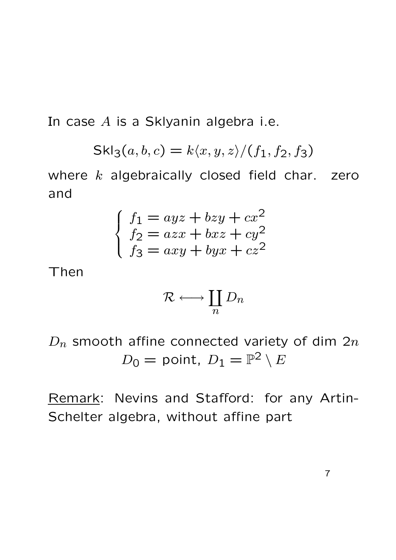In case  $A$  is a Sklyanin algebra i.e.

$$
Skl_3(a, b, c) = k\langle x, y, z \rangle / (f_1, f_2, f_3)
$$

where  $k$  algebraically closed field char. zero and

$$
\begin{cases}\nf_1 = ayz + bzy + cx^2 \\
f_2 = azx + bxz + cy^2 \\
f_3 = axy + byx + cz^2\n\end{cases}
$$

Then

$$
\mathcal{R} \longleftrightarrow \coprod_n D_n
$$

 $D_n$  smooth affine connected variety of dim  $2n$  $D_0 =$  point,  $D_1 = \mathbb{P}^2 \setminus E$ 

Remark: Nevins and Stafford: for any Artin-Schelter algebra, without affine part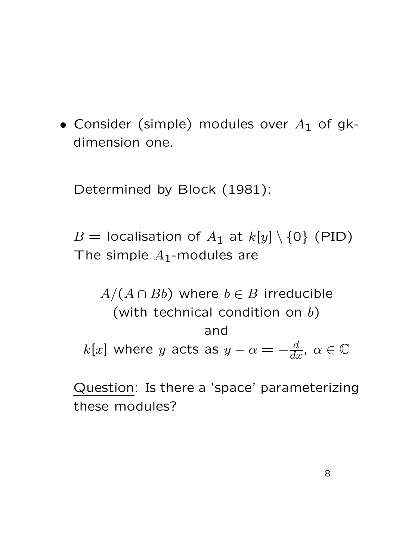• Consider (simple) modules over  $A_1$  of gkdimension one.

Determined by Block (1981):

 $B =$  localisation of  $A_1$  at  $k[y] \setminus \{0\}$  (PID) The simple  $A_1$ -modules are

 $A/(A \cap Bb)$  where  $b \in B$  irreducible (with technical condition on  $b$ ) and  $k[x]$  where  $y$  acts as  $y-\alpha=-\frac{d}{dx}$ ,  $\alpha\in\mathbb{C}$ 

Question: Is there a 'space' parameterizing these modules?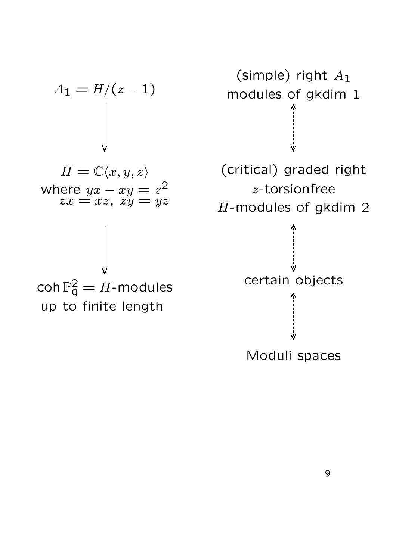$$
A_1 = H/(z - 1)
$$
  
\n
$$
H = \mathbb{C}\langle x, y, z \rangle
$$
  
\n
$$
x = xz, \quad zy = yz
$$
  
\n
$$
A_1 = H/(z - 1)
$$
  
\n
$$
B = \mathbb{C}\langle x, y, z \rangle
$$
  
\n
$$
B = \mathbb{C}\langle x, y, z \rangle
$$
  
\n
$$
x = xz, \quad zy = yz
$$
  
\n
$$
B = \int_{0}^{2} f(x, y, z) \, dx
$$
  
\n
$$
B = \int_{0}^{2} f(x, y, z) \, dx
$$
  
\n
$$
B = \int_{0}^{2} f(x, y, z) \, dx
$$
  
\n
$$
B = \int_{0}^{2} f(x, y, z) \, dx
$$
  
\n
$$
B = \int_{0}^{2} f(x, y, z) \, dx
$$
  
\n
$$
B = \int_{0}^{2} f(x, y, z) \, dx
$$
  
\n
$$
B = \int_{0}^{2} f(x, y, z) \, dx
$$
  
\n
$$
B = \int_{0}^{2} f(x, y, z) \, dx
$$
  
\n
$$
B = \int_{0}^{2} f(x, y, z) \, dx
$$
  
\n
$$
B = \int_{0}^{2} f(x, y, z) \, dx
$$
  
\n
$$
B = \int_{0}^{2} f(x, y, z) \, dx
$$
  
\n
$$
B = \int_{0}^{2} f(x, y, z) \, dx
$$
  
\n
$$
B = \int_{0}^{2} f(x, y, z) \, dx
$$
  
\n
$$
B = \int_{0}^{2} f(x, y, z) \, dx
$$
  
\n
$$
B = \int_{0}^{2} f(x, y, z) \, dx
$$
  
\n
$$
B = \int_{0}^{2} f(x, y, z) \, dx
$$
  
\n
$$
B = \int_{0}^{2} f(x, y, z) \, dx
$$
  
\n
$$
B = \int_{0}^{2} f(x, y, z) \, dx
$$
  
\n
$$
B = \int_{0}
$$

(simple) right  $A_1$ modules of gkdim 1  $\stackrel{\text{i}}{\mathsf{v}}$ (critical) graded right z-torsionfree H-modules of gkdim 2  $\bigwedge_1$ Ŵ Moduli spaces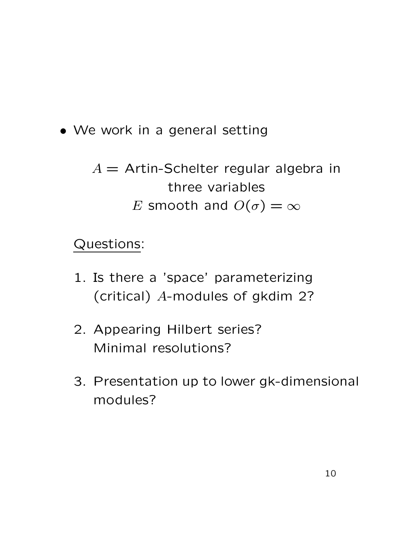- We work in a general setting
	- $A =$  Artin-Schelter regular algebra in three variables E smooth and  $O(\sigma) = \infty$

## Questions:

- 1. Is there a 'space' parameterizing (critical) A-modules of gkdim 2?
- 2. Appearing Hilbert series? Minimal resolutions?
- 3. Presentation up to lower gk-dimensional modules?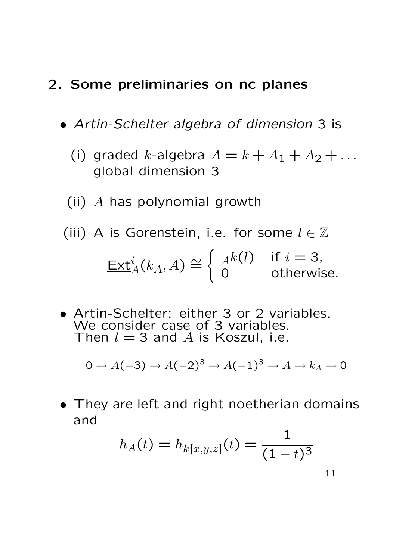#### 2. Some preliminaries on nc planes

- Artin-Schelter algebra of dimension 3 is
	- (i) graded k-algebra  $A = k + A_1 + A_2 + \ldots$ global dimension 3
	- (ii) A has polynomial growth
	- (iii) A is Gorenstein, i.e. for some  $l \in \mathbb{Z}$  $\underline{\mathsf{Ext}}^i_A(k_A,A)\cong$  $\int Ak(l) \quad \text{if } i = 3,$ 0 otherwise.
- Artin-Schelter: either 3 or 2 variables. We consider case of 3 variables. Then  $l = 3$  and A is Koszul, i.e.

$$
0 \to A(-3) \to A(-2)^3 \to A(-1)^3 \to A \to k_A \to 0
$$

• They are left and right noetherian domains and

$$
h_A(t) = h_{k[x,y,z]}(t) = \frac{1}{(1-t)^3}
$$

$$
1\\1
$$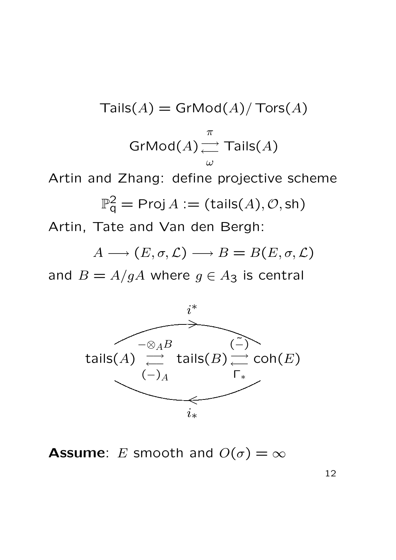Tails(A) = 
$$
\text{GrMod}(A) / \text{Tors}(A)
$$

\nGrMod(A)  $\underset{\omega}{\longrightarrow}$   $\text{Tails}(A)$ 

\nArtin and Zhang: define projective scheme

\n $\mathbb{P}_q^2 = \text{Proj } A := (\text{tails}(A), \mathcal{O}, \text{sh})$ 

\nArtin, Tate and Van den Bergh:

 $A \longrightarrow (E, \sigma, \mathcal{L}) \longrightarrow B = B(E, \sigma, \mathcal{L})$ 

and  $B = A/gA$  where  $g \in A_3$  is central



**Assume:** E smooth and  $O(\sigma) = \infty$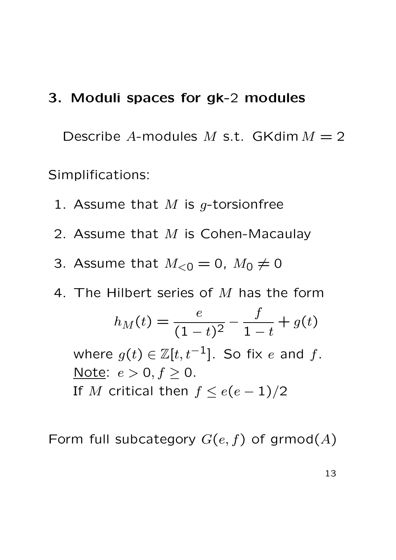#### 3. Moduli spaces for gk-2 modules

Describe A-modules M s.t. GKdim  $M = 2$ Simplifications:

- 1. Assume that  $M$  is g-torsionfree
- 2. Assume that  $M$  is Cohen-Macaulay
- 3. Assume that  $M_{< 0} = 0$ ,  $M_0 \neq 0$
- 4. The Hilbert series of  $M$  has the form  $h_M(t) = \frac{e}{\sqrt{1}}$  $\frac{1}{(1-t)^2}$  – f  $1-t$  $+ g(t)$ where  $g(t) \in \mathbb{Z}[t, t^{-1}]$ . So fix e and f. Note:  $e > 0, f \ge 0$ . If M critical then  $f \leq e(e-1)/2$

Form full subcategory  $G(e, f)$  of grmod(A)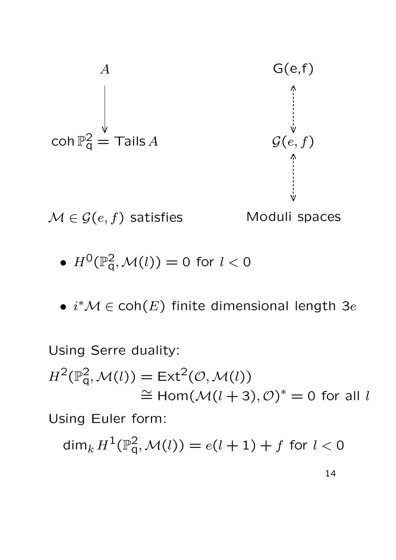

• 
$$
H^0(\mathbb{P}^2_q, \mathcal{M}(l)) = 0
$$
 for  $l < 0$ 

•  $i^{\ast}\mathcal{M} \in \mathsf{coh}(E)$  finite dimensional length 3e

Using Serre duality:  
\n
$$
H^{2}(\mathbb{P}_{q}^{2}, \mathcal{M}(l)) = \text{Ext}^{2}(\mathcal{O}, \mathcal{M}(l))
$$
\n
$$
\cong \text{Hom}(\mathcal{M}(l+3), \mathcal{O})^{*} = 0 \text{ for all } l
$$
\nUsing Euler form:  
\n
$$
\dim_{k} H^{1}(\mathbb{P}_{q}^{2}, \mathcal{M}(l)) = e(l+1) + f \text{ for } l < 0
$$

14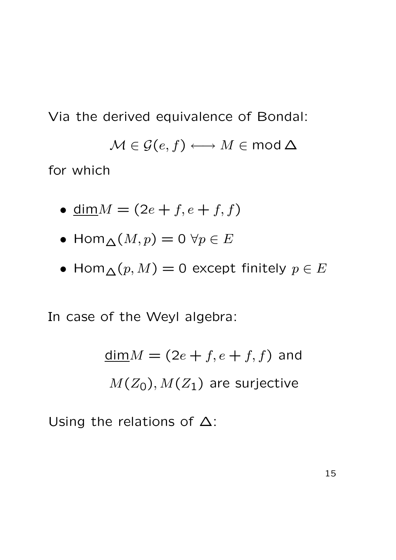Via the derived equivalence of Bondal:

 $\mathcal{M} \in \mathcal{G}(e, f) \longleftrightarrow M \in \mathsf{mod}\,\Delta$ 

for which

- dim  $M = (2e + f, e + f, f)$
- Hom $\triangle(M, p) = 0 \ \forall p \in E$
- Hom $\Lambda(p,M) = 0$  except finitely  $p \in E$

In case of the Weyl algebra:

$$
\underline{\dim} M = (2e + f, e + f, f)
$$
 and  

$$
M(Z_0), M(Z_1)
$$
 are surjective

Using the relations of  $\Delta$ :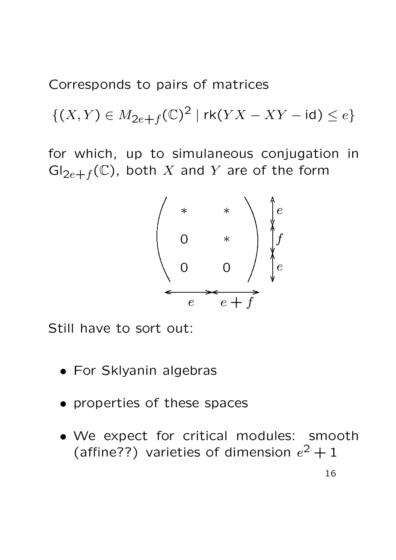Corresponds to pairs of matrices

 $\{(X,Y)\in M_{2e+f}(\mathbb{C})^2\mid \text{rk}(YX-XY-\text{id})\leq e\}$ 

for which, up to simulaneous conjugation in  $\mathrm{Gl}_{2e+f}(\mathbb C)$ , both X and Y are of the form



Still have to sort out:

- For Sklyanin algebras
- properties of these spaces
- We expect for critical modules: smooth (affine??) varieties of dimension  $e^2 + 1$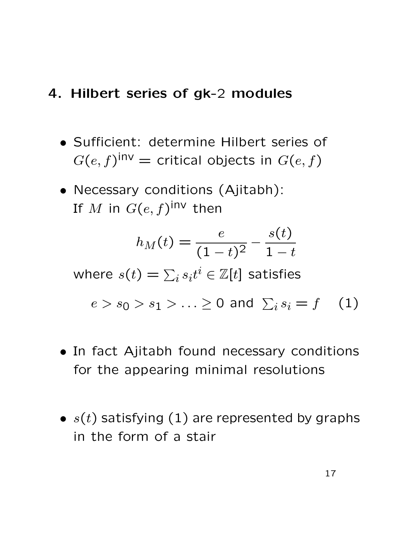### 4. Hilbert series of gk-2 modules

- Sufficient: determine Hilbert series of  $G(e,f)^{\mathsf{inv}} = \mathsf{critical}$  objects in  $G(e,f)$
- Necessary conditions (Ajitabh): If  $M$  in  $G(e,f)^\mathsf{inv}$  then

$$
h_M(t) = \frac{e}{(1-t)^2} - \frac{s(t)}{1-t}
$$

where  $s(t)=\sum_i s_i t^i \in \mathbb{Z}[t]$  satisfies

$$
e > s_0 > s_1 > \ldots \ge 0 \text{ and } \sum_i s_i = f \quad (1)
$$

- In fact Ajitabh found necessary conditions for the appearing minimal resolutions
- $s(t)$  satisfying (1) are represented by graphs in the form of a stair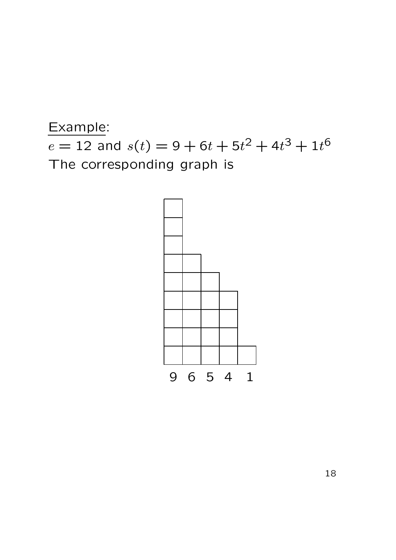

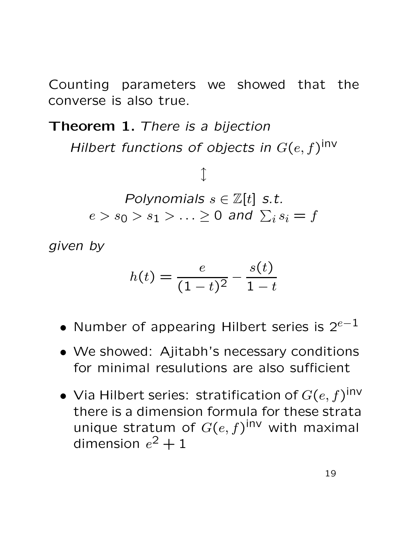Counting parameters we showed that the converse is also true.

Theorem 1. There is a bijection

Hilbert functions of objects in  $G(e,f)^\mathsf{inv}$ 

 $\int$ Polynomials  $s \in \mathbb{Z}[t]$  s.t.  $e>s_0>s_1>\ldots\geq 0$  and  $\sum_is_i=f$ 

given by

$$
h(t) = \frac{e}{(1-t)^2} - \frac{s(t)}{1-t}
$$

- Number of appearing Hilbert series is  $2^{e-1}$
- We showed: Ajitabh's necessary conditions for minimal resulutions are also sufficient
- Via Hilbert series: stratification of  $G(e,f)^\mathsf{inv}$ there is a dimension formula for these strata unique stratum of  $G(e, f)$ <sup>inv</sup> with maximal dimension  $e^2+1$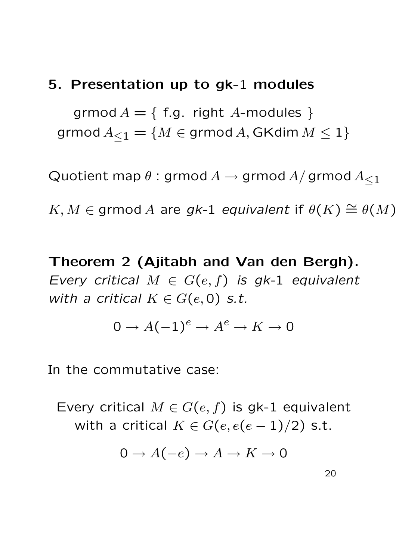### 5. Presentation up to gk-1 modules

grmod  $A = \{$  f.g. right A-modules  $\}$ grmod  $A_{\leq 1} = \{M \in \text{grmod } A, GK \dim M \leq 1\}$ 

Quotient map  $\theta$ : grmod  $A \rightarrow$  grmod  $A/$  grmod  $A<sub>1</sub>$ 

 $K, M \in \mathsf{grmod}\ A$  are gk-1 equivalent if  $\theta(K) \cong \theta(M)$ 

Theorem 2 (Ajitabh and Van den Bergh). Every critical  $M \in G(e, f)$  is gk-1 equivalent with a critical  $K \in G(e, 0)$  s.t.

$$
0 \to A(-1)^e \to A^e \to K \to 0
$$

In the commutative case:

Every critical  $M \in G(e, f)$  is gk-1 equivalent with a critical  $K \in G(e, e(e-1)/2)$  s.t.

$$
0 \to A(-e) \to A \to K \to 0
$$

20